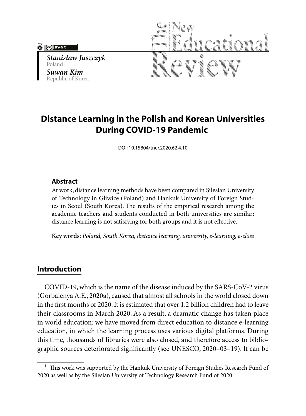#### **Cel BY-NC**

*Stanisław Juszczyk* Poland *Suwan Kim* Republic of Korea



# **Distance Learning in the Polish and Korean Universities During COVID-19 Pandemic**<sup>1</sup>

DOI: 10.15804/tner.2020.62.4.10

#### **Abstract**

At work, distance learning methods have been compared in Silesian University of Technology in Gliwice (Poland) and Hankuk University of Foreign Studies in Seoul (South Korea). The results of the empirical research among the academic teachers and students conducted in both universities are similar: distance learning is not satisfying for both groups and it is not effective.

**Key words:** *Poland, South Korea, distance learning, university, e-learning, e-class*

## **Introduction**

COVID-19, which is the name of the disease induced by the SARS-CoV-2 virus (Gorbalenya A.E., 2020a), caused that almost all schools in the world closed down in the first months of 2020. It is estimated that over 1.2 billion children had to leave their classrooms in March 2020. As a result, a dramatic change has taken place in world education: we have moved from direct education to distance e-learning education, in which the learning process uses various digital platforms. During this time, thousands of libraries were also closed, and therefore access to bibliographic sources deteriorated significantly (see UNESCO, 2020–03–19). It can be

<sup>&</sup>lt;sup>1</sup> This work was supported by the Hankuk University of Foreign Studies Research Fund of 2020 as well as by the Silesian University of Technology Research Fund of 2020.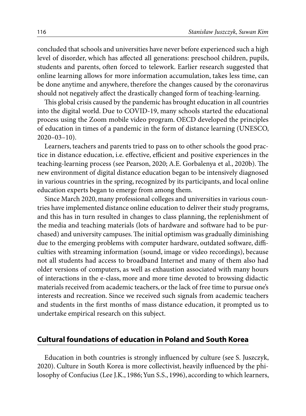concluded that schools and universities have never before experienced such a high level of disorder, which has affected all generations: preschool children, pupils, students and parents, often forced to telework. Earlier research suggested that online learning allows for more information accumulation, takes less time, can be done anytime and anywhere, therefore the changes caused by the coronavirus should not negatively affect the drastically changed form of teaching-learning.

This global crisis caused by the pandemic has brought education in all countries into the digital world. Due to COVID-19, many schools started the educational process using the Zoom mobile video program. OECD developed the principles of education in times of a pandemic in the form of distance learning (UNESCO, 2020–03–10).

Learners, teachers and parents tried to pass on to other schools the good practice in distance education, i.e. effective, efficient and positive experiences in the teaching-learning process (see Pearson, 2020; A.E. Gorbalenya et al., 2020b). The new environment of digital distance education began to be intensively diagnosed in various countries in the spring, recognized by its participants, and local online education experts began to emerge from among them.

Since March 2020, many professional colleges and universities in various countries have implemented distance online education to deliver their study programs, and this has in turn resulted in changes to class planning, the replenishment of the media and teaching materials (lots of hardware and software had to be purchased) and university campuses. The initial optimism was gradually diminishing due to the emerging problems with computer hardware, outdated software, difficulties with streaming information (sound, image or video recordings), because not all students had access to broadband Internet and many of them also had older versions of computers, as well as exhaustion associated with many hours of interactions in the e-class, more and more time devoted to browsing didactic materials received from academic teachers, or the lack of free time to pursue one's interests and recreation. Since we received such signals from academic teachers and students in the first months of mass distance education, it prompted us to undertake empirical research on this subject.

#### **Cultural foundations of education in Poland and South Korea**

Education in both countries is strongly influenced by culture (see S. Juszczyk, 2020). Culture in South Korea is more collectivist, heavily influenced by the philosophy of Confucius (Lee J.K., 1986; Yun S.S., 1996), according to which learners,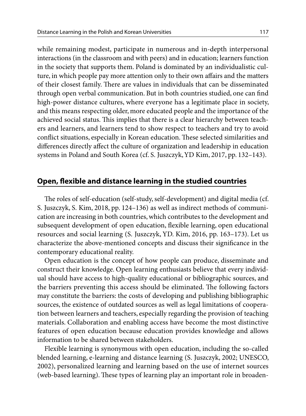while remaining modest, participate in numerous and in-depth interpersonal interactions (in the classroom and with peers) and in education; learners function in the society that supports them. Poland is dominated by an individualistic culture, in which people pay more attention only to their own affairs and the matters of their closest family. There are values in individuals that can be disseminated through open verbal communication. But in both countries studied, one can find high-power distance cultures, where everyone has a legitimate place in society, and this means respecting older, more educated people and the importance of the achieved social status. This implies that there is a clear hierarchy between teachers and learners, and learners tend to show respect to teachers and try to avoid conflict situations, especially in Korean education. These selected similarities and differences directly affect the culture of organization and leadership in education systems in Poland and South Korea (cf. S. Juszczyk, YD Kim, 2017, pp. 132–143).

### **Open, flexible and distance learning in the studied countries**

The roles of self-education (self-study, self-development) and digital media (cf. S. Juszczyk, S. Kim, 2018, pp. 124–136) as well as indirect methods of communication are increasing in both countries, which contributes to the development and subsequent development of open education, flexible learning, open educational resources and social learning (S. Juszczyk, YD. Kim, 2016, pp. 163–173). Let us characterize the above-mentioned concepts and discuss their significance in the contemporary educational reality.

Open education is the concept of how people can produce, disseminate and construct their knowledge. Open learning enthusiasts believe that every individual should have access to high-quality educational or bibliographic sources, and the barriers preventing this access should be eliminated. The following factors may constitute the barriers: the costs of developing and publishing bibliographic sources, the existence of outdated sources as well as legal limitations of cooperation between learners and teachers, especially regarding the provision of teaching materials. Collaboration and enabling access have become the most distinctive features of open education because education provides knowledge and allows information to be shared between stakeholders.

Flexible learning is synonymous with open education, including the so-called blended learning, e-learning and distance learning (S. Juszczyk, 2002; UNESCO, 2002), personalized learning and learning based on the use of internet sources (web-based learning). These types of learning play an important role in broaden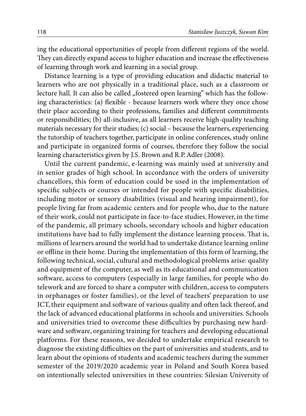ing the educational opportunities of people from different regions of the world. They can directly expand access to higher education and increase the effectiveness of learning through work and learning in a social group.

Distance learning is a type of providing education and didactic material to learners who are not physically in a traditional place, such as a classroom or lecture hall. It can also be called "fostered open learning" which has the following characteristics: (a) flexible - because learners work where they once chose their place according to their professions, families and different commitments or responsibilities; (b) all-inclusive, as all learners receive high-quality teaching materials necessary for their studies; (c) social – because the learners, experiencing the tutorship of teachers together, participate in online conferences, study online and participate in organized forms of courses, therefore they follow the social learning characteristics given by J.S. Brown and R.P. Adler (2008).

Until the current pandemic, e-learning was mainly used at university and in senior grades of high school. In accordance with the orders of university chancellors, this form of education could be used in the implementation of specific subjects or courses or intended for people with specific disabilities, including motor or sensory disabilities (visual and hearing impairment), for people living far from academic centers and for people who, due to the nature of their work, could not participate in face-to-face studies. However, in the time of the pandemic, all primary schools, secondary schools and higher education institutions have had to fully implement the distance learning process. That is, millions of learners around the world had to undertake distance learning online or offline in their home. During the implementation of this form of learning, the following technical, social, cultural and methodological problems arise: quality and equipment of the computer, as well as its educational and communication software, access to computers (especially in large families, for people who do telework and are forced to share a computer with children, access to computers in orphanages or foster families), or the level of teachers' preparation to use ICT, their equipment and software of various quality and often lack thereof, and the lack of advanced educational platforms in schools and universities. Schools and universities tried to overcome these difficulties by purchasing new hardware and software, organizing training for teachers and developing educational platforms. For these reasons, we decided to undertake empirical research to diagnose the existing difficulties on the part of universities and students, and to learn about the opinions of students and academic teachers during the summer semester of the 2019/2020 academic year in Poland and South Korea based on intentionally selected universities in these countries: Silesian University of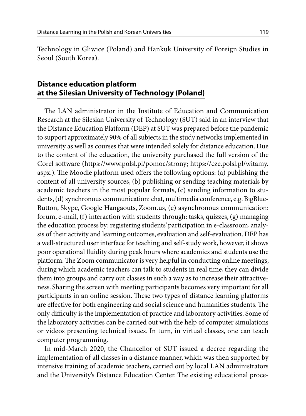Technology in Gliwice (Poland) and Hankuk University of Foreign Studies in Seoul (South Korea).

## **Distance education platform at the Silesian University of Technology (Poland)**

The LAN administrator in the Institute of Education and Communication Research at the Silesian University of Technology (SUT) said in an interview that the Distance Education Platform (DEP) at SUT was prepared before the pandemic to support approximately 90% of all subjects in the study networks implemented in university as well as courses that were intended solely for distance education. Due to the content of the education, the university purchased the full version of the Corel software (https://www.polsl.pl/pomoc/strony; https://cze.polsl.pl/witamy. aspx.). The Moodle platform used offers the following options: (a) publishing the content of all university sources, (b) publishing or sending teaching materials by academic teachers in the most popular formats, (c) sending information to students, (d) synchronous communication: chat, multimedia conference, e.g. BigBlue-Button, Skype, Google Hangaouts, Zoom.us, (e) asynchronous communication: forum, e-mail, (f) interaction with students through: tasks, quizzes, (g) managing the education process by: registering students' participation in e-classroom, analysis of their activity and learning outcomes, evaluation and self-evaluation. DEP has a well-structured user interface for teaching and self-study work, however, it shows poor operational fluidity during peak hours where academics and students use the platform. The Zoom communicator is very helpful in conducting online meetings, during which academic teachers can talk to students in real time, they can divide them into groups and carry out classes in such a way as to increase their attractiveness. Sharing the screen with meeting participants becomes very important for all participants in an online session. These two types of distance learning platforms are effective for both engineering and social science and humanities students. The only difficulty is the implementation of practice and laboratory activities. Some of the laboratory activities can be carried out with the help of computer simulations or videos presenting technical issues. In turn, in virtual classes, one can teach computer programming.

In mid-March 2020, the Chancellor of SUT issued a decree regarding the implementation of all classes in a distance manner, which was then supported by intensive training of academic teachers, carried out by local LAN administrators and the University's Distance Education Center. The existing educational proce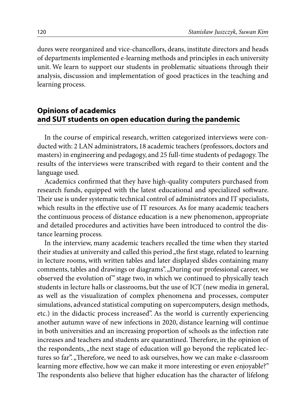dures were reorganized and vice-chancellors, deans, institute directors and heads of departments implemented e-learning methods and principles in each university unit. We learn to support our students in problematic situations through their analysis, discussion and implementation of good practices in the teaching and learning process.

## **Opinions of academics and SUT students on open education during the pandemic**

In the course of empirical research, written categorized interviews were conducted with: 2 LAN administrators, 18 academic teachers (professors, doctors and masters) in engineering and pedagogy, and 25 full-time students of pedagogy. The results of the interviews were transcribed with regard to their content and the language used.

Academics confirmed that they have high-quality computers purchased from research funds, equipped with the latest educational and specialized software. Their use is under systematic technical control of administrators and IT specialists, which results in the effective use of IT resources. As for many academic teachers the continuous process of distance education is a new phenomenon, appropriate and detailed procedures and activities have been introduced to control the distance learning process.

In the interview, many academic teachers recalled the time when they started their studies at university and called this period "the first stage, related to learning in lecture rooms, with written tables and later displayed slides containing many comments, tables and drawings or diagrams". "During our professional career, we observed the evolution of" stage two, in which we continued to physically teach students in lecture halls or classrooms, but the use of ICT (new media in general, as well as the visualization of complex phenomena and processes, computer simulations, advanced statistical computing on supercomputers, design methods, etc.) in the didactic process increased". As the world is currently experiencing another autumn wave of new infections in 2020, distance learning will continue in both universities and an increasing proportion of schools as the infection rate increases and teachers and students are quarantined. Therefore, in the opinion of the respondents, "the next stage of education will go beyond the replicated lectures so far". "Therefore, we need to ask ourselves, how we can make e-classroom learning more effective, how we can make it more interesting or even enjoyable?" The respondents also believe that higher education has the character of lifelong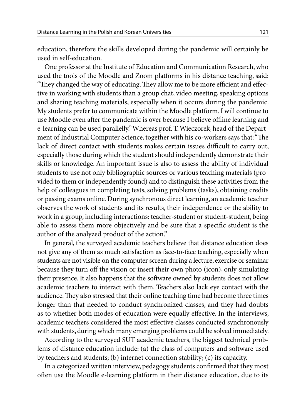education, therefore the skills developed during the pandemic will certainly be used in self-education.

One professor at the Institute of Education and Communication Research, who used the tools of the Moodle and Zoom platforms in his distance teaching, said: "They changed the way of educating. They allow me to be more efficient and effective in working with students than a group chat, video meeting, speaking options and sharing teaching materials, especially when it occurs during the pandemic. My students prefer to communicate within the Moodle platform. I will continue to use Moodle even after the pandemic is over because I believe offline learning and e-learning can be used parallelly." Whereas prof. T. Wieczorek, head of the Department of Industrial Computer Science, together with his co-workers says that: "The lack of direct contact with students makes certain issues difficult to carry out, especially those during which the student should independently demonstrate their skills or knowledge. An important issue is also to assess the ability of individual students to use not only bibliographic sources or various teaching materials (provided to them or independently found) and to distinguish these activities from the help of colleagues in completing tests, solving problems (tasks), obtaining credits or passing exams online. During synchronous direct learning, an academic teacher observes the work of students and its results, their independence or the ability to work in a group, including interactions: teacher-student or student-student, being able to assess them more objectively and be sure that a specific student is the author of the analyzed product of the action."

In general, the surveyed academic teachers believe that distance education does not give any of them as much satisfaction as face-to-face teaching, especially when students are not visible on the computer screen during a lecture, exercise or seminar because they turn off the vision or insert their own photo (icon), only simulating their presence. It also happens that the software owned by students does not allow academic teachers to interact with them. Teachers also lack eye contact with the audience. They also stressed that their online teaching time had become three times longer than that needed to conduct synchronized classes, and they had doubts as to whether both modes of education were equally effective. In the interviews, academic teachers considered the most effective classes conducted synchronously with students, during which many emerging problems could be solved immediately.

According to the surveyed SUT academic teachers, the biggest technical problems of distance education include: (a) the class of computers and software used by teachers and students; (b) internet connection stability; (c) its capacity.

In a categorized written interview, pedagogy students confirmed that they most often use the Moodle e-learning platform in their distance education, due to its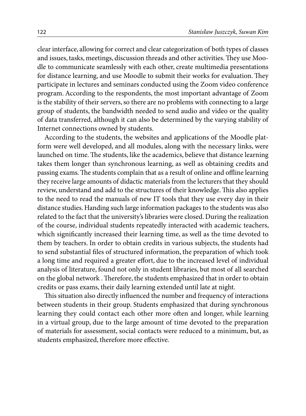clear interface, allowing for correct and clear categorization of both types of classes and issues, tasks, meetings, discussion threads and other activities. They use Moodle to communicate seamlessly with each other, create multimedia presentations for distance learning, and use Moodle to submit their works for evaluation. They participate in lectures and seminars conducted using the Zoom video conference program. According to the respondents, the most important advantage of Zoom is the stability of their servers, so there are no problems with connecting to a large group of students, the bandwidth needed to send audio and video or the quality of data transferred, although it can also be determined by the varying stability of Internet connections owned by students.

According to the students, the websites and applications of the Moodle platform were well developed, and all modules, along with the necessary links, were launched on time. The students, like the academics, believe that distance learning takes them longer than synchronous learning, as well as obtaining credits and passing exams. The students complain that as a result of online and offline learning they receive large amounts of didactic materials from the lecturers that they should review, understand and add to the structures of their knowledge. This also applies to the need to read the manuals of new IT tools that they use every day in their distance studies. Handing such large information packages to the students was also related to the fact that the university's libraries were closed. During the realization of the course, individual students repeatedly interacted with academic teachers, which significantly increased their learning time, as well as the time devoted to them by teachers. In order to obtain credits in various subjects, the students had to send substantial files of structured information, the preparation of which took a long time and required a greater effort, due to the increased level of individual analysis of literature, found not only in student libraries, but most of all searched on the global network . Therefore, the students emphasized that in order to obtain credits or pass exams, their daily learning extended until late at night.

This situation also directly influenced the number and frequency of interactions between students in their group. Students emphasized that during synchronous learning they could contact each other more often and longer, while learning in a virtual group, due to the large amount of time devoted to the preparation of materials for assessment, social contacts were reduced to a minimum, but, as students emphasized, therefore more effective.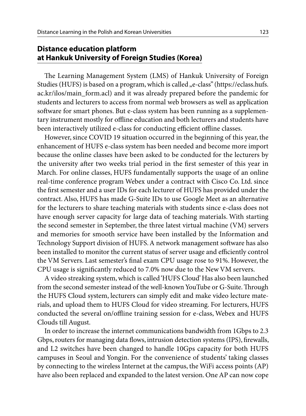### **Distance education platform at Hankuk University of Foreign Studies (Korea)**

The Learning Management System (LMS) of Hankuk University of Foreign Studies (HUFS) is based on a program, which is called "e-class" (https://eclass.hufs. ac.kr/ilos/main form.acl) and it was already prepared before the pandemic for students and lecturers to access from normal web browsers as well as application software for smart phones. But e-class system has been running as a supplementary instrument mostly for offline education and both lecturers and students have been interactively utilized e-class for conducting efficient offline classes.

However, since COVID 19 situation occurred in the beginning of this year, the enhancement of HUFS e-class system has been needed and become more import because the online classes have been asked to be conducted for the lecturers by the university after two weeks trial period in the first semester of this year in March. For online classes, HUFS fundamentally supports the usage of an online real-time conference program Webex under a contract with Cisco Co. Ltd. since the first semester and a user IDs for each lecturer of HUFS has provided under the contract. Also, HUFS has made G-Suite IDs to use Google Meet as an alternative for the lecturers to share teaching materials with students since e-class does not have enough server capacity for large data of teaching materials. With starting the second semester in September, the three latest virtual machine (VM) servers and memories for smooth service have been installed by the Information and Technology Support division of HUFS. A network management software has also been installed to monitor the current status of server usage and efficiently control the VM Servers. Last semester's final exam CPU usage rose to 91%. However, the CPU usage is significantly reduced to 7.0% now due to the New VM servers.

A video streaking system, which is called 'HUFS Cloud' Has also been launched from the second semester instead of the well-known YouTube or G-Suite. Through the HUFS Cloud system, lecturers can simply edit and make video lecture materials, and upload them to HUFS Cloud for video streaming. For lecturers, HUFS conducted the several on/offline training session for e-class, Webex and HUFS Clouds till August.

In order to increase the internet communications bandwidth from 1Gbps to 2.3 Gbps, routers for managing data flows, intrusion detection systems (IPS), firewalls, and L2 switches have been changed to handle 10Gps capacity for both HUFS campuses in Seoul and Yongin. For the convenience of students' taking classes by connecting to the wireless Internet at the campus, the WiFi access points (AP) have also been replaced and expanded to the latest version. One AP can now cope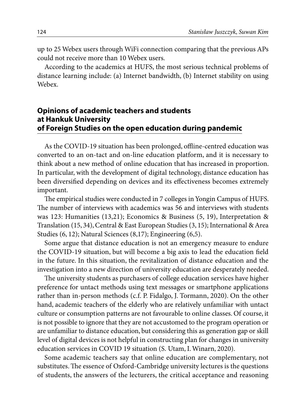up to 25 Webex users through WiFi connection comparing that the previous APs could not receive more than 10 Webex users.

According to the academics at HUFS, the most serious technical problems of distance learning include: (a) Internet bandwidth, (b) Internet stability on using Webex.

# **Opinions of academic teachers and students at Hankuk University of Foreign Studies on the open education during pandemic**

As the COVID-19 situation has been prolonged, offline-centred education was converted to an on-tact and on-line education platform, and it is necessary to think about a new method of online education that has increased in proportion. In particular, with the development of digital technology, distance education has been diversified depending on devices and its effectiveness becomes extremely important.

The empirical studies were conducted in 7 colleges in Yongin Campus of HUFS. The number of interviews with academics was 56 and interviews with students was 123: Humanities (13,21); Economics & Business (5, 19), Interpretation & Translation (15, 34), Central & East European Studies (3, 15); International & Area Studies (6, 12); Natural Sciences (8,17); Engineering (6,5).

Some argue that distance education is not an emergency measure to endure the COVID-19 situation, but will become a big axis to lead the education field in the future. In this situation, the revitalization of distance education and the investigation into a new direction of university education are desperately needed.

The university students as purchasers of college education services have higher preference for untact methods using text messages or smartphone applications rather than in-person methods (c.f. P. Fidalgo, J. Tormann, 2020). On the other hand, academic teachers of the elderly who are relatively unfamiliar with untact culture or consumption patterns are not favourable to online classes. Of course, it is not possible to ignore that they are not accustomed to the program operation or are unfamiliar to distance education, but considering this as generation gap or skill level of digital devices is not helpful in constructing plan for changes in university education services in COVID 19 situation (S. Utam, I. Winarn, 2020).

Some academic teachers say that online education are complementary, not substitutes. The essence of Oxford-Cambridge university lectures is the questions of students, the answers of the lecturers, the critical acceptance and reasoning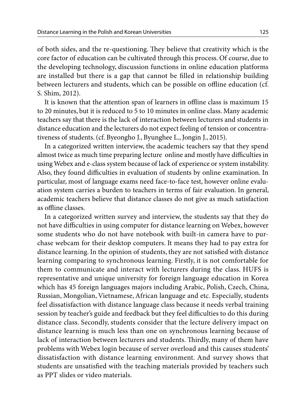of both sides, and the re-questioning. They believe that creativity which is the core factor of education can be cultivated through this process. Of course, due to the developing technology, discussion functions in online education platforms are installed but there is a gap that cannot be filled in relationship building between lecturers and students, which can be possible on offline education (cf. S. Shim, 2012).

It is known that the attention span of learners in offline class is maximum 15 to 20 minutes, but it is reduced to 5 to 10 minutes in online class. Many academic teachers say that there is the lack of interaction between lecturers and students in distance education and the lecturers do not expect feeling of tension or concentrativeness of students. (cf. Byeongho J., Byunghee L., Jongin J., 2015).

In a categorized written interview, the academic teachers say that they spend almost twice as much time preparing lecture online and mostly have difficulties in using Webex and e-class system because of lack of experience or system instability. Also, they found difficulties in evaluation of students by online examination. In particular, most of language exams need face-to-face test, however online evaluation system carries a burden to teachers in terms of fair evaluation. In general, academic teachers believe that distance classes do not give as much satisfaction as offline classes.

In a categorized written survey and interview, the students say that they do not have difficulties in using computer for distance learning on Webex, however some students who do not have notebook with built-in camera have to purchase webcam for their desktop computers. It means they had to pay extra for distance learning. In the opinion of students, they are not satisfied with distance learning comparing to synchronous learning. Firstly, it is not comfortable for them to communicate and interact with lecturers during the class. HUFS is representative and unique university for foreign language education in Korea which has 45 foreign languages majors including Arabic, Polish, Czech, China, Russian, Mongolian, Vietnamese, African language and etc. Especially, students feel dissatisfaction with distance language class because it needs verbal training session by teacher's guide and feedback but they feel difficulties to do this during distance class. Secondly, students consider that the lecture delivery impact on distance learning is much less than one on synchronous learning because of lack of interaction between lecturers and students. Thirdly, many of them have problems with Webex login because of server overload and this causes students' dissatisfaction with distance learning environment. And survey shows that students are unsatisfied with the teaching materials provided by teachers such as PPT slides or video materials.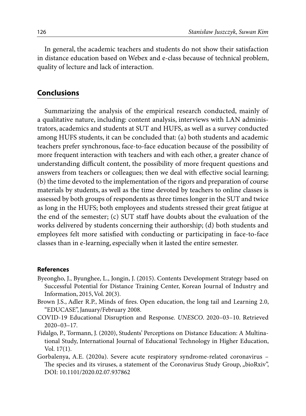In general, the academic teachers and students do not show their satisfaction in distance education based on Webex and e-class because of technical problem, quality of lecture and lack of interaction.

#### **Conclusions**

Summarizing the analysis of the empirical research conducted, mainly of a qualitative nature, including: content analysis, interviews with LAN administrators, academics and students at SUT and HUFS, as well as a survey conducted among HUFS students, it can be concluded that: (a) both students and academic teachers prefer synchronous, face-to-face education because of the possibility of more frequent interaction with teachers and with each other, a greater chance of understanding difficult content, the possibility of more frequent questions and answers from teachers or colleagues; then we deal with effective social learning; (b) the time devoted to the implementation of the rigors and preparation of course materials by students, as well as the time devoted by teachers to online classes is assessed by both groups of respondents as three times longer in the SUT and twice as long in the HUFS; both employees and students stressed their great fatigue at the end of the semester; (c) SUT staff have doubts about the evaluation of the works delivered by students concerning their authorship; (d) both students and employees felt more satisfied with conducting or participating in face-to-face classes than in e-learning, especially when it lasted the entire semester.

#### **References**

- Byeongho, J., Byunghee, L., Jongin, J. (2015). Contents Development Strategy based on Successful Potential for Distance Training Center, Korean Journal of Industry and Information, 2015, Vol. 20(3).
- Brown J.S., Adler R.P., Minds of fires. Open education, the long tail and Learning 2.0, "EDUCASE", January/February 2008.
- COVID-19 Educational Disruption and Response*. UNESCO*. 2020–03–10. Retrieved 2020–03–17*.*
- Fidalgo, P., Tormann, J. (2020), Students' Perceptions on Distance Education: A Multinational Study, International Journal of Educational Technology in Higher Education, Vol. 17(1).
- Gorbalenya, A.E. (2020a). Severe acute respiratory syndrome-related coronavirus The species and its viruses, a statement of the Coronavirus Study Group, "bioRxiv", DOI: 10.1101/2020.02.07.937862